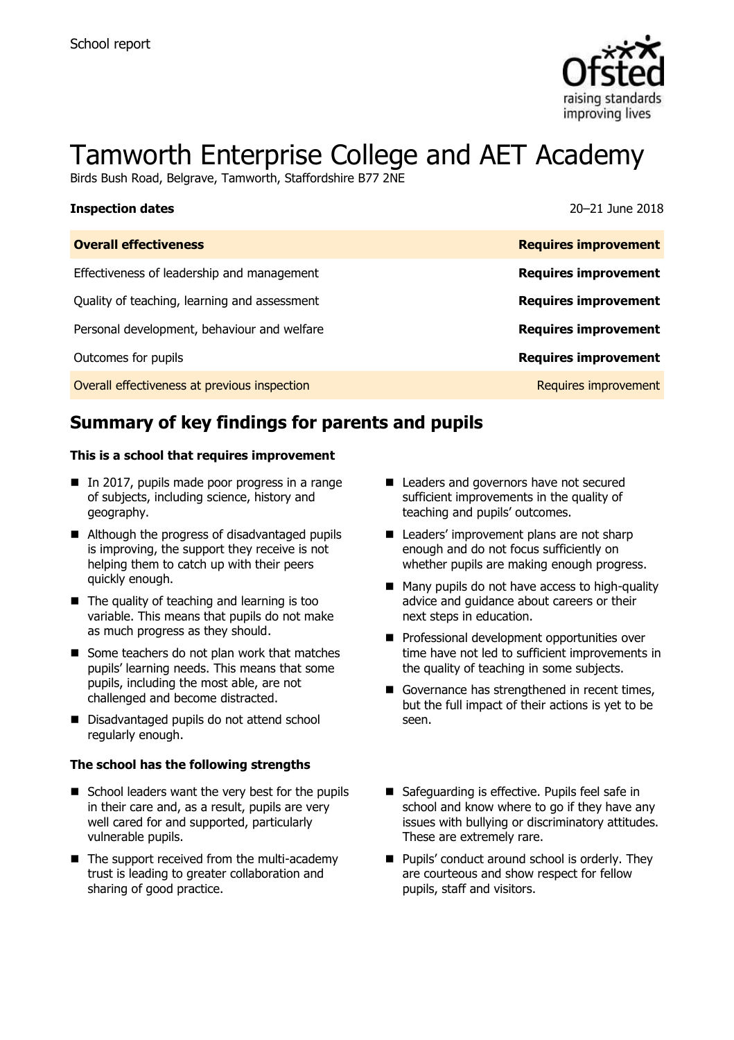

# Tamworth Enterprise College and AET Academy

Birds Bush Road, Belgrave, Tamworth, Staffordshire B77 2NE

| <b>Inspection dates</b>                      | 20–21 June 2018             |
|----------------------------------------------|-----------------------------|
| <b>Overall effectiveness</b>                 | <b>Requires improvement</b> |
| Effectiveness of leadership and management   | <b>Requires improvement</b> |
| Quality of teaching, learning and assessment | <b>Requires improvement</b> |
| Personal development, behaviour and welfare  | <b>Requires improvement</b> |
| Outcomes for pupils                          | <b>Requires improvement</b> |
| Overall effectiveness at previous inspection | Requires improvement        |

# **Summary of key findings for parents and pupils**

#### **This is a school that requires improvement**

- In 2017, pupils made poor progress in a range of subjects, including science, history and geography.
- Although the progress of disadvantaged pupils is improving, the support they receive is not helping them to catch up with their peers quickly enough.
- $\blacksquare$  The quality of teaching and learning is too variable. This means that pupils do not make as much progress as they should.
- Some teachers do not plan work that matches pupils' learning needs. This means that some pupils, including the most able, are not challenged and become distracted.
- Disadvantaged pupils do not attend school regularly enough.

#### **The school has the following strengths**

- $\blacksquare$  School leaders want the very best for the pupils in their care and, as a result, pupils are very well cared for and supported, particularly vulnerable pupils.
- $\blacksquare$  The support received from the multi-academy trust is leading to greater collaboration and sharing of good practice.
- Leaders and governors have not secured sufficient improvements in the quality of teaching and pupils' outcomes.
- Leaders' improvement plans are not sharp enough and do not focus sufficiently on whether pupils are making enough progress.
- Many pupils do not have access to high-quality advice and guidance about careers or their next steps in education.
- **Professional development opportunities over** time have not led to sufficient improvements in the quality of teaching in some subjects.
- Governance has strengthened in recent times. but the full impact of their actions is yet to be seen.
- Safequarding is effective. Pupils feel safe in school and know where to go if they have any issues with bullying or discriminatory attitudes. These are extremely rare.
- Pupils' conduct around school is orderly. They are courteous and show respect for fellow pupils, staff and visitors.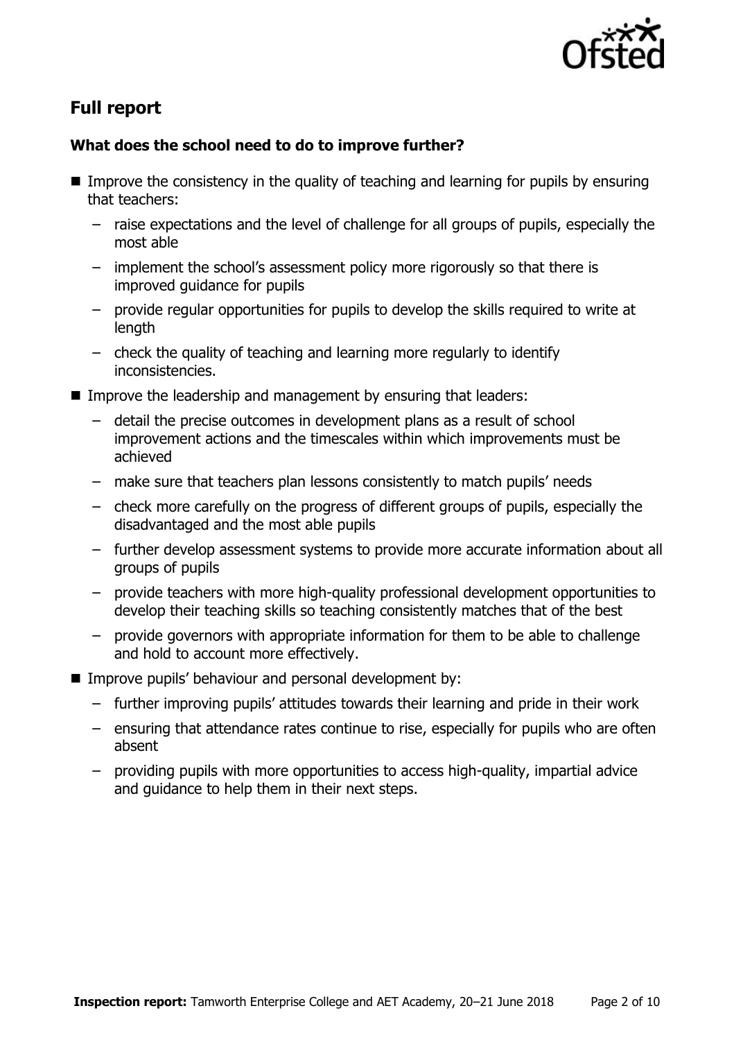

# **Full report**

### **What does the school need to do to improve further?**

- **IMPROVE THE CONSTRUMED IN THE GOOD IN THE QUALITY OF THE LATA CONSTRUMED IN A LATA CONSTRUMED IN THE INCOCO EN** that teachers:
	- raise expectations and the level of challenge for all groups of pupils, especially the most able
	- implement the school's assessment policy more rigorously so that there is improved guidance for pupils
	- provide regular opportunities for pupils to develop the skills required to write at length
	- check the quality of teaching and learning more regularly to identify inconsistencies.
- **IMPROVE the leadership and management by ensuring that leaders:** 
	- detail the precise outcomes in development plans as a result of school improvement actions and the timescales within which improvements must be achieved
	- make sure that teachers plan lessons consistently to match pupils' needs
	- check more carefully on the progress of different groups of pupils, especially the disadvantaged and the most able pupils
	- further develop assessment systems to provide more accurate information about all groups of pupils
	- provide teachers with more high-quality professional development opportunities to develop their teaching skills so teaching consistently matches that of the best
	- provide governors with appropriate information for them to be able to challenge and hold to account more effectively.
- **IMPROVE pupils' behaviour and personal development by:** 
	- further improving pupils' attitudes towards their learning and pride in their work
	- ensuring that attendance rates continue to rise, especially for pupils who are often absent
	- providing pupils with more opportunities to access high-quality, impartial advice and guidance to help them in their next steps.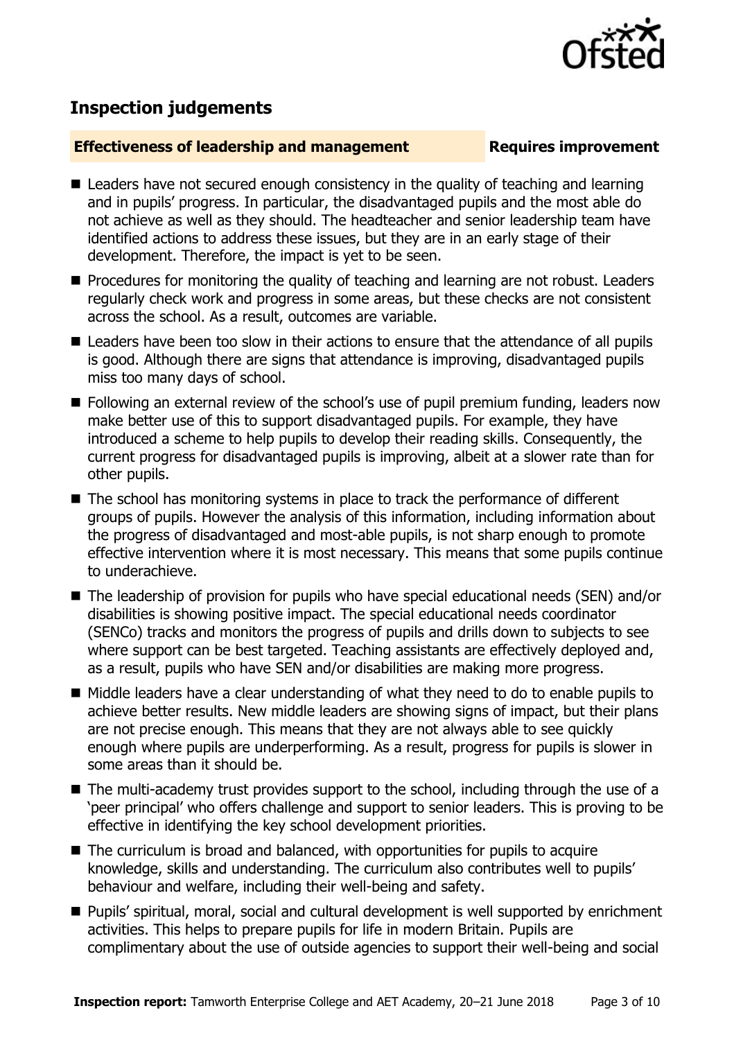

## **Inspection judgements**

#### **Effectiveness of leadership and management Requires improvement**

- Leaders have not secured enough consistency in the quality of teaching and learning and in pupils' progress. In particular, the disadvantaged pupils and the most able do not achieve as well as they should. The headteacher and senior leadership team have identified actions to address these issues, but they are in an early stage of their development. Therefore, the impact is yet to be seen.
- **Procedures for monitoring the quality of teaching and learning are not robust. Leaders** regularly check work and progress in some areas, but these checks are not consistent across the school. As a result, outcomes are variable.
- Leaders have been too slow in their actions to ensure that the attendance of all pupils is good. Although there are signs that attendance is improving, disadvantaged pupils miss too many days of school.
- **Following an external review of the school's use of pupil premium funding, leaders now** make better use of this to support disadvantaged pupils. For example, they have introduced a scheme to help pupils to develop their reading skills. Consequently, the current progress for disadvantaged pupils is improving, albeit at a slower rate than for other pupils.
- The school has monitoring systems in place to track the performance of different groups of pupils. However the analysis of this information, including information about the progress of disadvantaged and most-able pupils, is not sharp enough to promote effective intervention where it is most necessary. This means that some pupils continue to underachieve.
- The leadership of provision for pupils who have special educational needs (SEN) and/or disabilities is showing positive impact. The special educational needs coordinator (SENCo) tracks and monitors the progress of pupils and drills down to subjects to see where support can be best targeted. Teaching assistants are effectively deployed and, as a result, pupils who have SEN and/or disabilities are making more progress.
- Middle leaders have a clear understanding of what they need to do to enable pupils to achieve better results. New middle leaders are showing signs of impact, but their plans are not precise enough. This means that they are not always able to see quickly enough where pupils are underperforming. As a result, progress for pupils is slower in some areas than it should be.
- The multi-academy trust provides support to the school, including through the use of a 'peer principal' who offers challenge and support to senior leaders. This is proving to be effective in identifying the key school development priorities.
- The curriculum is broad and balanced, with opportunities for pupils to acquire knowledge, skills and understanding. The curriculum also contributes well to pupils' behaviour and welfare, including their well-being and safety.
- **Pupils' spiritual, moral, social and cultural development is well supported by enrichment** activities. This helps to prepare pupils for life in modern Britain. Pupils are complimentary about the use of outside agencies to support their well-being and social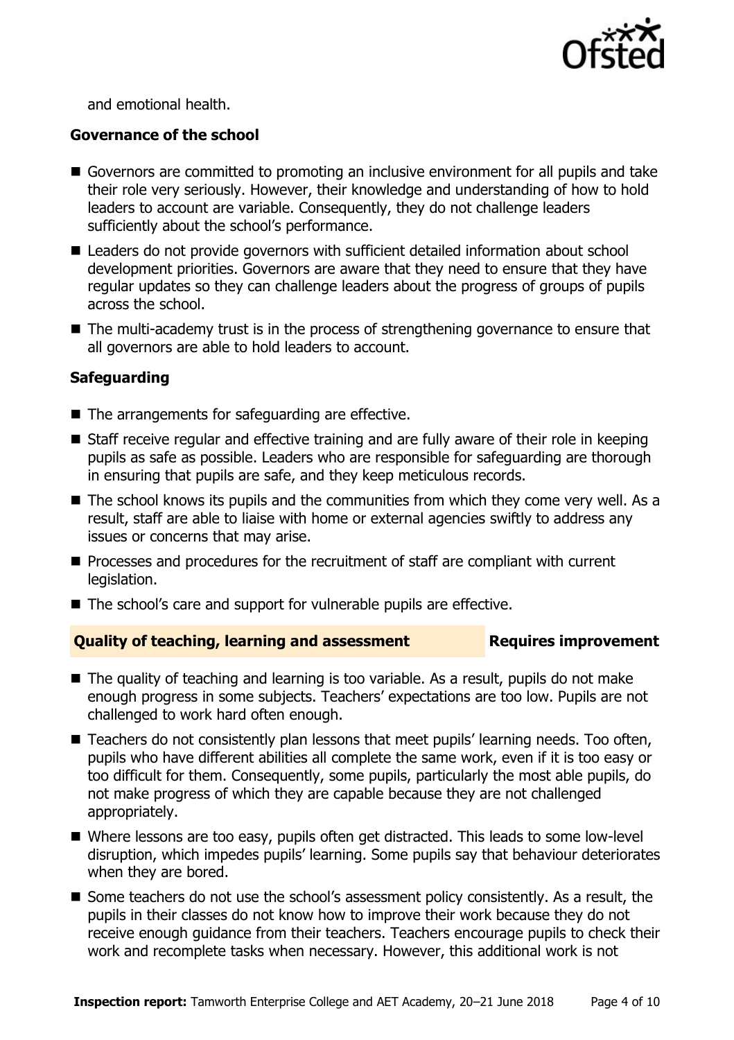

and emotional health.

#### **Governance of the school**

- Governors are committed to promoting an inclusive environment for all pupils and take their role very seriously. However, their knowledge and understanding of how to hold leaders to account are variable. Consequently, they do not challenge leaders sufficiently about the school's performance.
- Leaders do not provide governors with sufficient detailed information about school development priorities. Governors are aware that they need to ensure that they have regular updates so they can challenge leaders about the progress of groups of pupils across the school.
- The multi-academy trust is in the process of strengthening governance to ensure that all governors are able to hold leaders to account.

#### **Safeguarding**

- The arrangements for safeguarding are effective.
- Staff receive regular and effective training and are fully aware of their role in keeping pupils as safe as possible. Leaders who are responsible for safeguarding are thorough in ensuring that pupils are safe, and they keep meticulous records.
- $\blacksquare$  The school knows its pupils and the communities from which they come very well. As a result, staff are able to liaise with home or external agencies swiftly to address any issues or concerns that may arise.
- **Processes and procedures for the recruitment of staff are compliant with current** legislation.
- The school's care and support for vulnerable pupils are effective.

#### **Quality of teaching, learning and assessment Requires improvement**

- The quality of teaching and learning is too variable. As a result, pupils do not make enough progress in some subjects. Teachers' expectations are too low. Pupils are not challenged to work hard often enough.
- Teachers do not consistently plan lessons that meet pupils' learning needs. Too often, pupils who have different abilities all complete the same work, even if it is too easy or too difficult for them. Consequently, some pupils, particularly the most able pupils, do not make progress of which they are capable because they are not challenged appropriately.
- Where lessons are too easy, pupils often get distracted. This leads to some low-level disruption, which impedes pupils' learning. Some pupils say that behaviour deteriorates when they are bored.
- Some teachers do not use the school's assessment policy consistently. As a result, the pupils in their classes do not know how to improve their work because they do not receive enough guidance from their teachers. Teachers encourage pupils to check their work and recomplete tasks when necessary. However, this additional work is not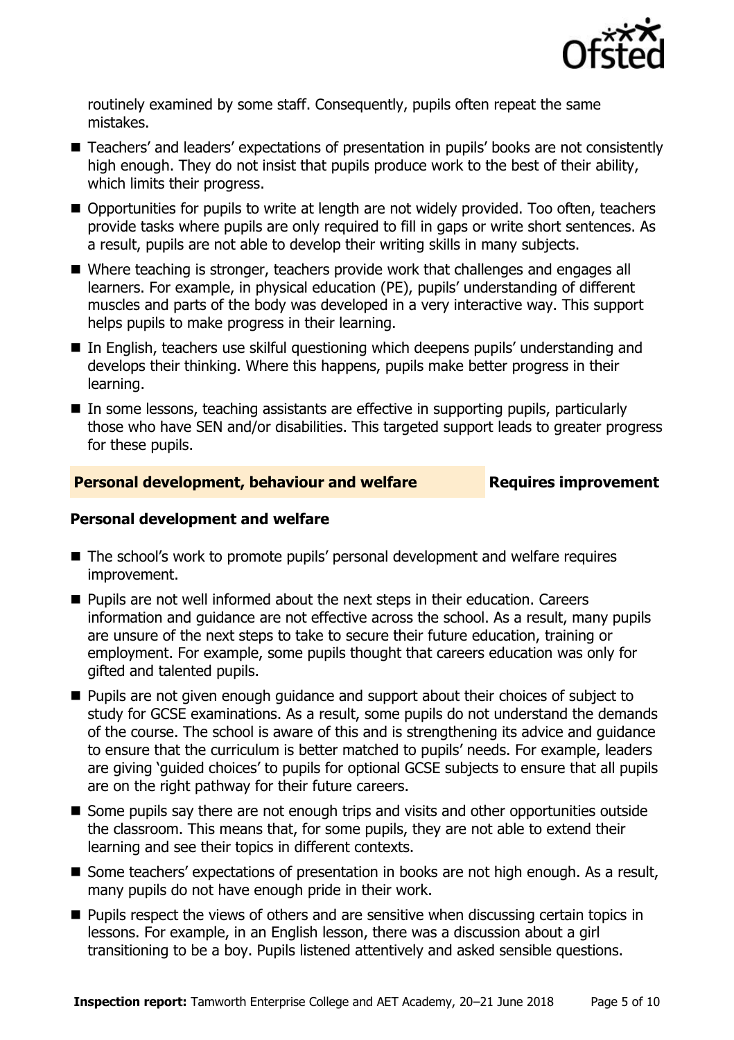

routinely examined by some staff. Consequently, pupils often repeat the same mistakes.

- Teachers' and leaders' expectations of presentation in pupils' books are not consistently high enough. They do not insist that pupils produce work to the best of their ability, which limits their progress.
- Opportunities for pupils to write at length are not widely provided. Too often, teachers provide tasks where pupils are only required to fill in gaps or write short sentences. As a result, pupils are not able to develop their writing skills in many subjects.
- Where teaching is stronger, teachers provide work that challenges and engages all learners. For example, in physical education (PE), pupils' understanding of different muscles and parts of the body was developed in a very interactive way. This support helps pupils to make progress in their learning.
- In English, teachers use skilful questioning which deepens pupils' understanding and develops their thinking. Where this happens, pupils make better progress in their learning.
- In some lessons, teaching assistants are effective in supporting pupils, particularly those who have SEN and/or disabilities. This targeted support leads to greater progress for these pupils.

#### **Personal development, behaviour and welfare Fig. 2.1 Requires improvement**

#### **Personal development and welfare**

- The school's work to promote pupils' personal development and welfare requires improvement.
- **Pupils are not well informed about the next steps in their education. Careers** information and guidance are not effective across the school. As a result, many pupils are unsure of the next steps to take to secure their future education, training or employment. For example, some pupils thought that careers education was only for gifted and talented pupils.
- **Pupils are not given enough guidance and support about their choices of subject to** study for GCSE examinations. As a result, some pupils do not understand the demands of the course. The school is aware of this and is strengthening its advice and guidance to ensure that the curriculum is better matched to pupils' needs. For example, leaders are giving 'guided choices' to pupils for optional GCSE subjects to ensure that all pupils are on the right pathway for their future careers.
- Some pupils say there are not enough trips and visits and other opportunities outside the classroom. This means that, for some pupils, they are not able to extend their learning and see their topics in different contexts.
- Some teachers' expectations of presentation in books are not high enough. As a result, many pupils do not have enough pride in their work.
- **Pupils respect the views of others and are sensitive when discussing certain topics in** lessons. For example, in an English lesson, there was a discussion about a girl transitioning to be a boy. Pupils listened attentively and asked sensible questions.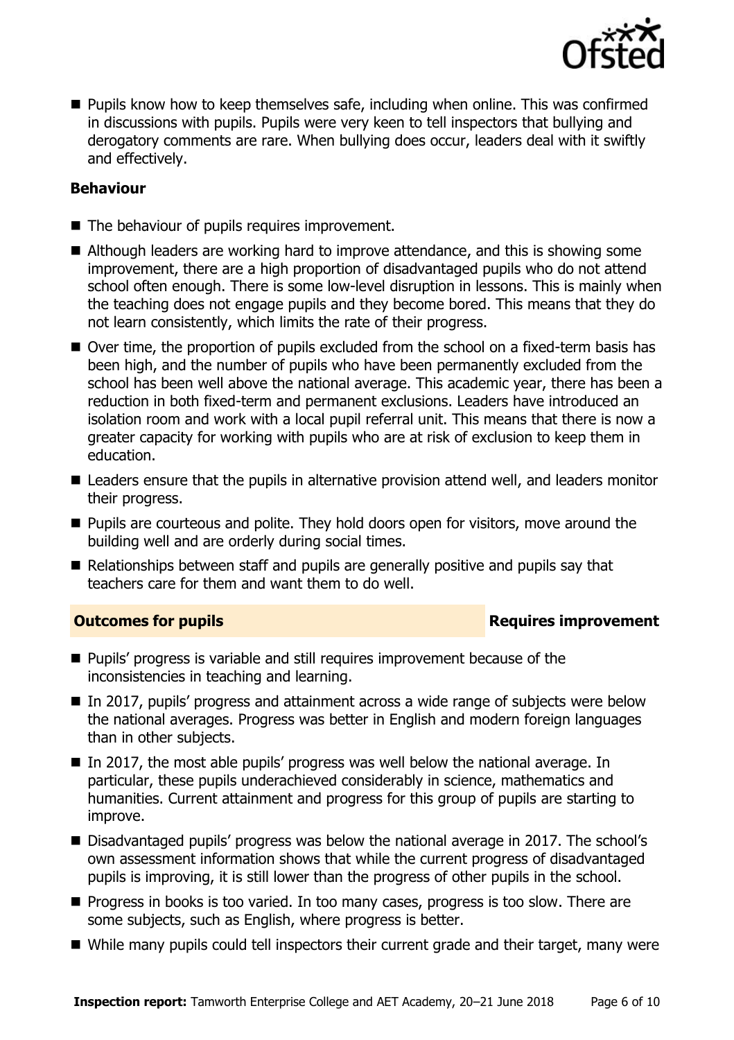

**Pupils know how to keep themselves safe, including when online. This was confirmed** in discussions with pupils. Pupils were very keen to tell inspectors that bullying and derogatory comments are rare. When bullying does occur, leaders deal with it swiftly and effectively.

### **Behaviour**

- The behaviour of pupils requires improvement.
- Although leaders are working hard to improve attendance, and this is showing some improvement, there are a high proportion of disadvantaged pupils who do not attend school often enough. There is some low-level disruption in lessons. This is mainly when the teaching does not engage pupils and they become bored. This means that they do not learn consistently, which limits the rate of their progress.
- Over time, the proportion of pupils excluded from the school on a fixed-term basis has been high, and the number of pupils who have been permanently excluded from the school has been well above the national average. This academic year, there has been a reduction in both fixed-term and permanent exclusions. Leaders have introduced an isolation room and work with a local pupil referral unit. This means that there is now a greater capacity for working with pupils who are at risk of exclusion to keep them in education.
- Leaders ensure that the pupils in alternative provision attend well, and leaders monitor their progress.
- **Pupils are courteous and polite. They hold doors open for visitors, move around the** building well and are orderly during social times.
- $\blacksquare$  Relationships between staff and pupils are generally positive and pupils say that teachers care for them and want them to do well.

### **Outcomes for pupils Requires improvement**

- **Pupils' progress is variable and still requires improvement because of the** inconsistencies in teaching and learning.
- In 2017, pupils' progress and attainment across a wide range of subjects were below the national averages. Progress was better in English and modern foreign languages than in other subjects.
- In 2017, the most able pupils' progress was well below the national average. In particular, these pupils underachieved considerably in science, mathematics and humanities. Current attainment and progress for this group of pupils are starting to improve.
- Disadvantaged pupils' progress was below the national average in 2017. The school's own assessment information shows that while the current progress of disadvantaged pupils is improving, it is still lower than the progress of other pupils in the school.
- **Progress in books is too varied. In too many cases, progress is too slow. There are** some subjects, such as English, where progress is better.
- While many pupils could tell inspectors their current grade and their target, many were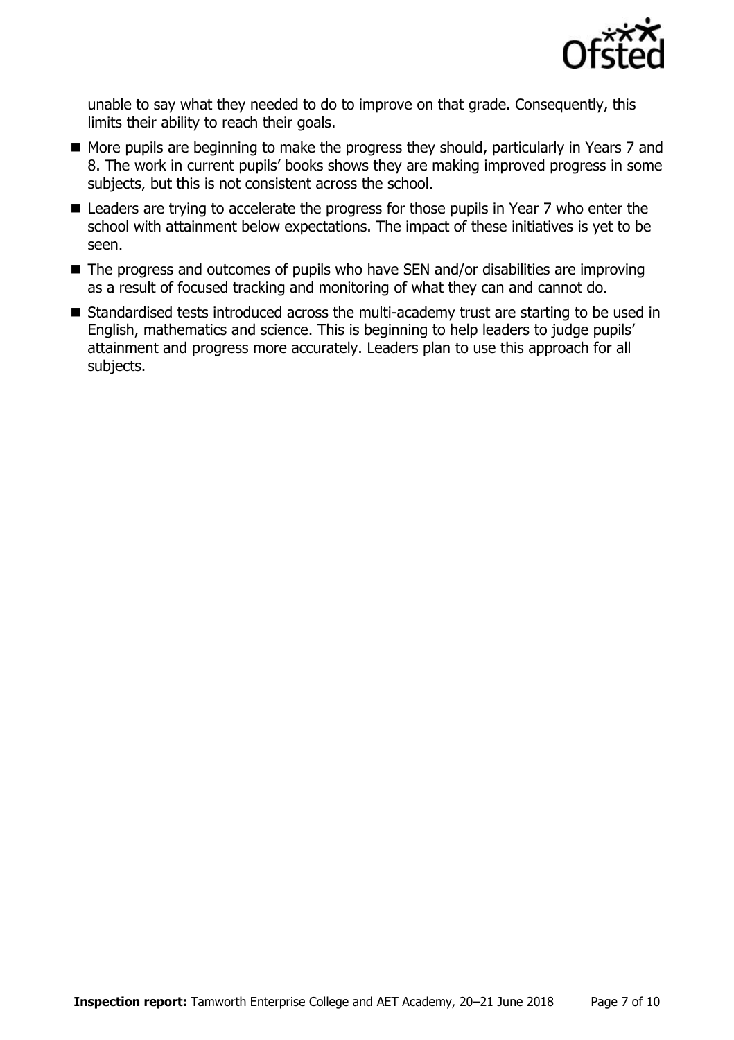

unable to say what they needed to do to improve on that grade. Consequently, this limits their ability to reach their goals.

- More pupils are beginning to make the progress they should, particularly in Years 7 and 8. The work in current pupils' books shows they are making improved progress in some subjects, but this is not consistent across the school.
- Leaders are trying to accelerate the progress for those pupils in Year 7 who enter the school with attainment below expectations. The impact of these initiatives is yet to be seen.
- The progress and outcomes of pupils who have SEN and/or disabilities are improving as a result of focused tracking and monitoring of what they can and cannot do.
- Standardised tests introduced across the multi-academy trust are starting to be used in English, mathematics and science. This is beginning to help leaders to judge pupils' attainment and progress more accurately. Leaders plan to use this approach for all subjects.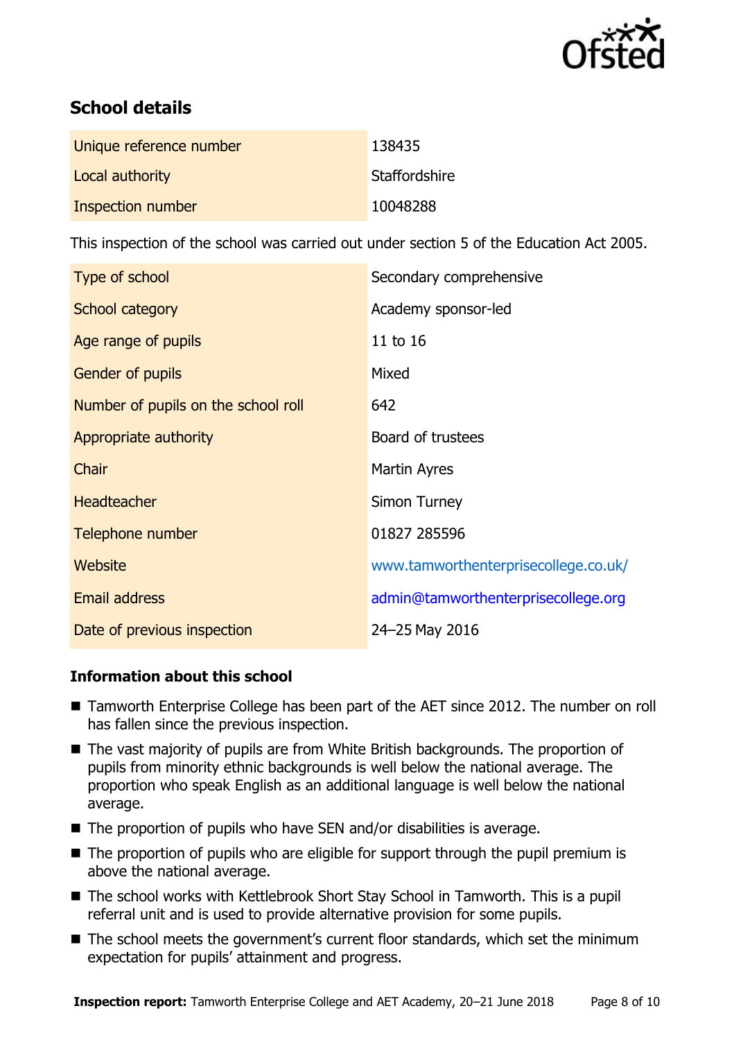

# **School details**

| Unique reference number | 138435        |
|-------------------------|---------------|
| Local authority         | Staffordshire |
| Inspection number       | 10048288      |

This inspection of the school was carried out under section 5 of the Education Act 2005.

| Type of school                      | Secondary comprehensive              |
|-------------------------------------|--------------------------------------|
| School category                     | Academy sponsor-led                  |
| Age range of pupils                 | 11 to 16                             |
| Gender of pupils                    | Mixed                                |
| Number of pupils on the school roll | 642                                  |
| Appropriate authority               | Board of trustees                    |
| Chair                               | <b>Martin Ayres</b>                  |
| <b>Headteacher</b>                  | Simon Turney                         |
| Telephone number                    | 01827 285596                         |
| Website                             | www.tamworthenterprisecollege.co.uk/ |
| <b>Email address</b>                | admin@tamworthenterprisecollege.org  |
| Date of previous inspection         | 24-25 May 2016                       |

### **Information about this school**

- Tamworth Enterprise College has been part of the AET since 2012. The number on roll has fallen since the previous inspection.
- The vast majority of pupils are from White British backgrounds. The proportion of pupils from minority ethnic backgrounds is well below the national average. The proportion who speak English as an additional language is well below the national average.
- $\blacksquare$  The proportion of pupils who have SEN and/or disabilities is average.
- $\blacksquare$  The proportion of pupils who are eligible for support through the pupil premium is above the national average.
- The school works with Kettlebrook Short Stay School in Tamworth. This is a pupil referral unit and is used to provide alternative provision for some pupils.
- The school meets the government's current floor standards, which set the minimum expectation for pupils' attainment and progress.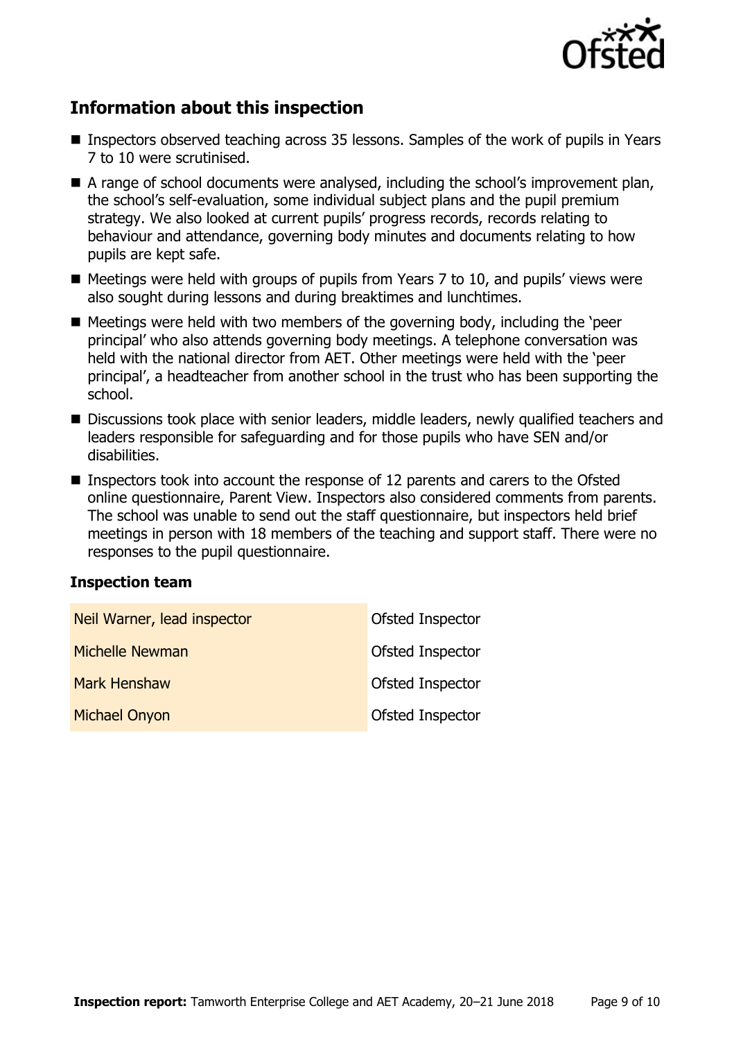

# **Information about this inspection**

- Inspectors observed teaching across 35 lessons. Samples of the work of pupils in Years 7 to 10 were scrutinised.
- A range of school documents were analysed, including the school's improvement plan, the school's self-evaluation, some individual subject plans and the pupil premium strategy. We also looked at current pupils' progress records, records relating to behaviour and attendance, governing body minutes and documents relating to how pupils are kept safe.
- $\blacksquare$  Meetings were held with groups of pupils from Years 7 to 10, and pupils' views were also sought during lessons and during breaktimes and lunchtimes.
- $\blacksquare$  Meetings were held with two members of the governing body, including the 'peer principal' who also attends governing body meetings. A telephone conversation was held with the national director from AET. Other meetings were held with the 'peer principal', a headteacher from another school in the trust who has been supporting the school.
- Discussions took place with senior leaders, middle leaders, newly qualified teachers and leaders responsible for safeguarding and for those pupils who have SEN and/or disabilities.
- Inspectors took into account the response of 12 parents and carers to the Ofsted online questionnaire, Parent View. Inspectors also considered comments from parents. The school was unable to send out the staff questionnaire, but inspectors held brief meetings in person with 18 members of the teaching and support staff. There were no responses to the pupil questionnaire.

### **Inspection team**

| Neil Warner, lead inspector | Ofsted Inspector |
|-----------------------------|------------------|
| <b>Michelle Newman</b>      | Ofsted Inspector |
| <b>Mark Henshaw</b>         | Ofsted Inspector |
| <b>Michael Onyon</b>        | Ofsted Inspector |